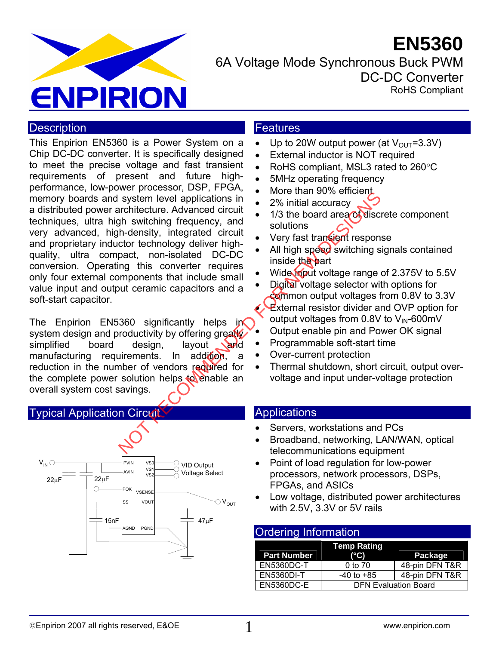# **EN5360**



6A Voltage Mode Synchronous Buck PWM DC-DC Converter RoHS Compliant

## **Description**

This Enpirion EN5360 is a Power System on a Chip DC-DC converter. It is specifically designed to meet the precise voltage and fast transient requirements of present and future highperformance, low-power processor, DSP, FPGA, memory boards and system level applications in a distributed power architecture. Advanced circuit techniques, ultra high switching frequency, and very advanced, high-density, integrated circuit and proprietary inductor technology deliver highquality, ultra compact, non-isolated DC-DC conversion. Operating this converter requires only four external components that include small value input and output ceramic capacitors and a soft-start capacitor. Notice the method of the method of the method of the method of the method of the method of the method of the method of the method of the method of the method of the method of the method of the method of the method of the m

The Enpirion EN5360 significantly helps in system design and productivity by offering greatly simplified board design, layout and manufacturing requirements. In addition, a reduction in the number of vendors required for the complete power solution helps to enable an overall system cost savings.

#### Typical Application Circuit



#### **Features**

- Up to 20W output power (at  $V_{\text{OUT}}=3.3V$ )
- External inductor is NOT required
- RoHS compliant, MSL3 rated to 260°C
- 5MHz operating frequency
- More than 90% efficient
- 2% initial accuracy
- 1/3 the board area of discrete component solutions
- Very fast transient response
- All high speed switching signals contained inside the part
- Wide input voltage range of 2.375V to 5.5V
- Digital voltage selector with options for common output voltages from 0.8V to 3.3V **External resistor divider and OVP option for** output voltages from  $0.8V$  to  $V_{\text{IN}}$ -600mV
- Output enable pin and Power OK signal
- Programmable soft-start time
- Over-current protection
- Thermal shutdown, short circuit, output overvoltage and input under-voltage protection

#### **Applications**

- Servers, workstations and PCs
- Broadband, networking, LAN/WAN, optical telecommunications equipment
- Point of load regulation for low-power processors, network processors, DSPs, FPGAs, and ASICs
- Low voltage, distributed power architectures with 2.5V, 3.3V or 5V rails

#### Ordering Information

| <b>Part Number</b> | <b>Temp Rating</b><br>$(^{\circ}C)$ | Package        |  |
|--------------------|-------------------------------------|----------------|--|
| EN5360DC-T         | 0 to 70                             | 48-pin DFN T&R |  |
| EN5360DI-T         | $-40$ to $+85$                      | 48-pin DFN T&R |  |
| <b>EN5360DC-E</b>  | <b>DFN Evaluation Board</b>         |                |  |

1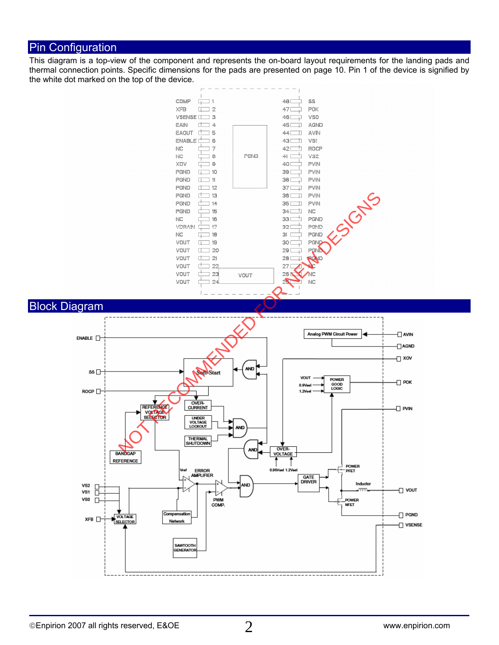## Pin Configuration

This diagram is a top-view of the component and represents the on-board layout requirements for the landing pads and thermal connection points. Specific dimensions for the pads are presented on page 10. Pin 1 of the device is signified by the white dot marked on the top of the device.

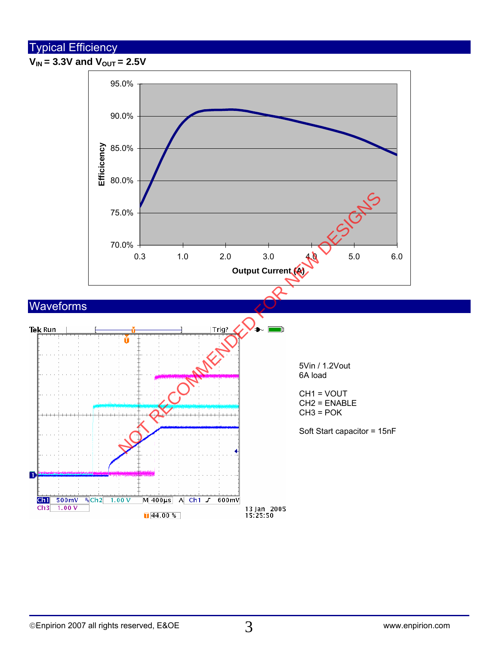# Typical Efficiency

 $V_{IN}$  = 3.3V and  $V_{OUT}$  = 2.5V

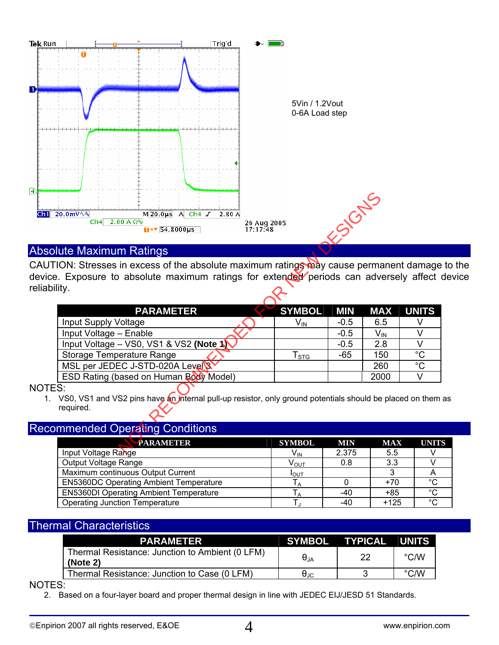

## Absolute Maximum Ratings

CAUTION: Stresses in excess of the absolute maximum ratings may cause permanent damage to the device. Exposure to absolute maximum ratings for extended periods can adversely affect device reliability.

| 20.0mV \ &<br>$M$ 20.0 us A Ch4 $J$<br>2.80A<br>$2.00 A \Omega$<br>Ch4<br>26 Aug 2005<br>$\overline{u}$ + $\overline{54.8000 \mu s}$<br>17:17:48                                   |                            | <b>1.95 GNS</b> |                 |              |
|------------------------------------------------------------------------------------------------------------------------------------------------------------------------------------|----------------------------|-----------------|-----------------|--------------|
| <b>Ilute Maximum Ratings</b>                                                                                                                                                       |                            |                 |                 |              |
| TION: Stresses in excess of the absolute maximum ratings may cause permanent damage<br>e. Exposure to absolute maximum ratings for extended periods can adversely affect<br>ility. |                            |                 |                 |              |
| <b>PARAMETER</b>                                                                                                                                                                   | <b>SYMBOL</b>              | <b>MIN</b>      | <b>MAX</b>      | <b>UNITS</b> |
| <b>Input Supply Voltage</b>                                                                                                                                                        | $V_{IN}$                   | $-0.5$          | 6.5             | V            |
| Input Voltage - Enable                                                                                                                                                             |                            | $-0.5$          | $V_{\text{IN}}$ | V            |
| Input Voltage - VS0, VS1 & VS2 (Note 1)                                                                                                                                            |                            | $-0.5$          | 2.8             | V            |
| Storage Temperature Range                                                                                                                                                          | ${\mathsf T}_{\text{STG}}$ | $-65$           | 150             | $^{\circ}C$  |
| MSL per JEDEC J-STD-020A Level 3                                                                                                                                                   |                            |                 | 260             | $^{\circ}C$  |
| ESD Rating (based on Human Body Model)                                                                                                                                             |                            |                 | 2000            | $\vee$       |
| ES:<br>VS0, VS1 and VS2 pins have an internal pull-up resistor, only ground potentials should be placed on them<br>required.<br><b>Immended Operating Conditions</b>               |                            |                 |                 |              |
| <b>PARAMETER</b>                                                                                                                                                                   | <b>SYMBOL</b>              | <b>MIN</b>      | <b>MAX</b>      | <b>UNIT</b>  |
| Innut Voltage Range                                                                                                                                                                | $V_{\cdots}$               | 2375            | 55              | V            |

#### NOTES:

1. VS0, VS1 and VS2 pins have an internal pull-up resistor, only ground potentials should be placed on them as required.

#### Recommended Operating Conditions

| <b>PARAMETER</b>                              | <b>SYMBOL</b>     | <b>MIN</b> | <b>MAX</b> | <b>UNITS</b> |
|-----------------------------------------------|-------------------|------------|------------|--------------|
| Input Voltage Range                           | V <sub>IN</sub>   | 2.375      | 5.5        |              |
| Output Voltage Range                          | $\rm V_{\rm OUT}$ | 0.8        | 3.3        |              |
| Maximum continuous Output Current             | I <sub>OUT</sub>  |            |            | Ħ            |
| <b>EN5360DC Operating Ambient Temperature</b> |                   |            | $+70$      | $^{\circ}C$  |
| <b>EN5360DI Operating Ambient Temperature</b> |                   | -40        | +85        | $^{\circ}C$  |
| <b>Operating Junction Temperature</b>         |                   | -40        | $+125$     | $\circ$      |

#### Thermal Characteristics

| <b>PARAMETER</b>                                            |                      | SYMBOL TYPICAL | <b>UNITS</b> |
|-------------------------------------------------------------|----------------------|----------------|--------------|
| Thermal Resistance: Junction to Ambient (0 LFM)<br>(Note 2) | $\Theta_{JA}$        | 22             | °C/W         |
| Thermal Resistance: Junction to Case (0 LFM)                | $\theta_{\text{JC}}$ |                | °C/W         |

NOTES:

2. Based on a four-layer board and proper thermal design in line with JEDEC EIJ/JESD 51 Standards.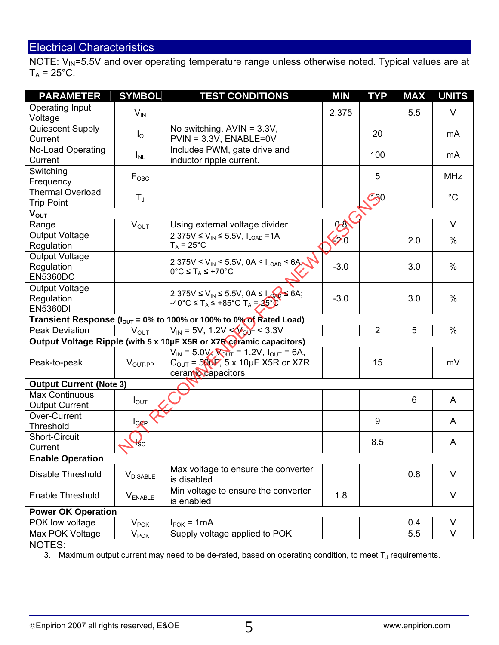# Electrical Characteristics

NOTE: V<sub>IN</sub>=5.5V and over operating temperature range unless otherwise noted. Typical values are at  $T_A = 25$ °C.

| <b>PARAMETER</b>                                       | <b>SYMBOL</b>         | <b>TEST CONDITIONS</b>                                                                                                                  | <b>MIN</b>                 | <b>TYP</b>     | <b>MAX</b> | <b>UNITS</b>     |
|--------------------------------------------------------|-----------------------|-----------------------------------------------------------------------------------------------------------------------------------------|----------------------------|----------------|------------|------------------|
| Operating Input<br>Voltage                             | $V_{IN}$              |                                                                                                                                         | 2.375                      |                | 5.5        | $\vee$           |
| Quiescent Supply<br>Current                            | $I_{\mathsf{Q}}$      | No switching, $AVIN = 3.3V$ ,<br>$PVIN = 3.3V$ , $ENABLE = 0V$                                                                          |                            | 20             |            | mA               |
| No-Load Operating<br>Current                           | $I_{NL}$              | Includes PWM, gate drive and<br>inductor ripple current.                                                                                |                            | 100            |            | mA               |
| Switching<br>Frequency                                 | $F_{\rm osc}$         |                                                                                                                                         |                            | 5              |            | <b>MHz</b>       |
| <b>Thermal Overload</b><br><b>Trip Point</b>           | $T_{J}$               |                                                                                                                                         |                            | $G_{60}$       |            | $^{\circ}C$      |
| $V_{\text{OUT}}$                                       |                       |                                                                                                                                         |                            |                |            |                  |
| Range                                                  | $V_{OU\underline{T}}$ | Using external voltage divider                                                                                                          | 9.8                        |                |            | $\vee$           |
| Output Voltage<br>Regulation                           |                       | 2.375V ≤ $V_{IN}$ ≤ 5.5V, I <sub>LOAD</sub> = 1A<br>$T_A = 25^{\circ}C$                                                                 | $\overline{\mathbf{Q}}$ .0 |                | 2.0        | $\%$             |
| <b>Output Voltage</b><br>Regulation<br><b>EN5360DC</b> |                       | 2.375V $\leq$ V <sub>IN</sub> $\leq$ 5.5V, 0A $\leq$ I <sub>LOAD</sub> $\leq$ 6A;<br>$0^{\circ}C \leq T_A \leq +70^{\circ}C$            | $-3.0$                     |                | 3.0        | $\%$             |
| <b>Output Voltage</b><br>Regulation<br><b>EN5360DI</b> |                       | 2.375V ≤ V <sub>IN</sub> ≤ 5.5V, 0A ≤ Long ≤ 6A;<br>$-40^{\circ}$ C $\leq$ T <sub>A</sub> $\leq$ +85°C T <sub>A</sub> $=$ <b>25°C</b>   | $-3.0$                     |                | 3.0        | $\%$             |
|                                                        |                       | Transient Response ( $I_{OUT}$ = 0% to 100% or 100% to 0% of Rated Load)                                                                |                            |                |            |                  |
| <b>Peak Deviation</b>                                  | $V_{OUT}$             | $V_{IN}$ = 5V, 1.2V < $V_{OUT}$ < 3.3V                                                                                                  |                            | $\overline{2}$ | 5          | $\%$             |
|                                                        |                       | Output Voltage Ripple (with 5 x 10µF X5R or X7R ceramic capacitors)                                                                     |                            |                |            |                  |
| Peak-to-peak                                           | $VOUT-PP$             | $V_{IN} = 5.0 V$ , $V_{OUT} = 1.2 V$ , $I_{OUT} = 6A$ ,<br>$C_{\text{OUT}} = 500 \text{ F}$ , 5 x 10µF X5R or X7R<br>ceramic capacitors |                            | 15             |            | mV               |
| <b>Output Current (Note 3)</b>                         |                       |                                                                                                                                         |                            |                |            |                  |
| <b>Max Continuous</b><br><b>Output Current</b>         | $I_{\text{OUT}}$      |                                                                                                                                         |                            |                | 6          | A                |
| Over-Current<br>Threshold                              | $log_{P}$             |                                                                                                                                         |                            | 9              |            | A                |
| <b>Short-Circuit</b><br>Current                        | <sup>1</sup> SC       |                                                                                                                                         |                            | 8.5            |            | A                |
| <b>Enable Operation</b>                                |                       |                                                                                                                                         |                            |                |            |                  |
| Disable Threshold                                      | <b>V</b> DISABLE      | Max voltage to ensure the converter<br>is disabled                                                                                      |                            |                | 0.8        | $\vee$           |
| <b>Enable Threshold</b>                                | <b>VENABLE</b>        | Min voltage to ensure the converter<br>is enabled                                                                                       | 1.8                        |                |            | V                |
| <b>Power OK Operation</b>                              |                       |                                                                                                                                         |                            |                |            |                  |
|                                                        |                       |                                                                                                                                         |                            |                |            |                  |
| POK low voltage<br>Max POK Voltage                     | $V_{PV_{POK}$         | $I_{\text{POK}} = 1 \text{mA}$<br>Supply voltage applied to POK                                                                         |                            |                | 0.4<br>5.5 | $\vee$<br>$\vee$ |

NOTES:

3. Maximum output current may need to be de-rated, based on operating condition, to meet  $T_J$  requirements.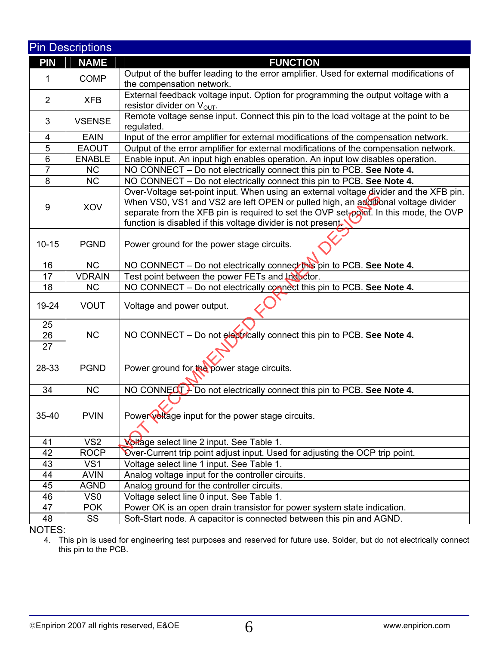|                | <b>Pin Descriptions</b> |                                                                                                                                                                                                                                                                                                                                     |  |  |
|----------------|-------------------------|-------------------------------------------------------------------------------------------------------------------------------------------------------------------------------------------------------------------------------------------------------------------------------------------------------------------------------------|--|--|
| <b>PIN</b>     | <b>NAME</b>             | <b>FUNCTION</b>                                                                                                                                                                                                                                                                                                                     |  |  |
| 1              | <b>COMP</b>             | Output of the buffer leading to the error amplifier. Used for external modifications of<br>the compensation network.                                                                                                                                                                                                                |  |  |
| $\overline{2}$ | <b>XFB</b>              | External feedback voltage input. Option for programming the output voltage with a<br>resistor divider on $V_{\text{OUT}}$ .                                                                                                                                                                                                         |  |  |
| 3              | <b>VSENSE</b>           | Remote voltage sense input. Connect this pin to the load voltage at the point to be<br>regulated.                                                                                                                                                                                                                                   |  |  |
| 4              | <b>EAIN</b>             | Input of the error amplifier for external modifications of the compensation network.                                                                                                                                                                                                                                                |  |  |
| $\overline{5}$ | <b>EAOUT</b>            | Output of the error amplifier for external modifications of the compensation network.                                                                                                                                                                                                                                               |  |  |
| 6              | <b>ENABLE</b>           | Enable input. An input high enables operation. An input low disables operation.                                                                                                                                                                                                                                                     |  |  |
| $\overline{7}$ | <b>NC</b>               | NO CONNECT - Do not electrically connect this pin to PCB. See Note 4.                                                                                                                                                                                                                                                               |  |  |
| 8              | <b>NC</b>               | NO CONNECT - Do not electrically connect this pin to PCB. See Note 4.                                                                                                                                                                                                                                                               |  |  |
| 9              | XOV                     | Over-Voltage set-point input. When using an external voltage divider and the XFB pin.<br>When VS0, VS1 and VS2 are left OPEN or pulled high, an additional voltage divider<br>separate from the XFB pin is required to set the OVP set-point. In this mode, the OVP<br>function is disabled if this voltage divider is not present. |  |  |
| $10 - 15$      | <b>PGND</b>             | Power ground for the power stage circuits.                                                                                                                                                                                                                                                                                          |  |  |
| 16             | <b>NC</b>               | NO CONNECT - Do not electrically connect this pin to PCB. See Note 4.                                                                                                                                                                                                                                                               |  |  |
| 17             | <b>VDRAIN</b>           | Test point between the power FETs and Inductor.                                                                                                                                                                                                                                                                                     |  |  |
| 18             | <b>NC</b>               | NO CONNECT - Do not electrically connect this pin to PCB. See Note 4.                                                                                                                                                                                                                                                               |  |  |
| 19-24          | <b>VOUT</b>             | Voltage and power output.                                                                                                                                                                                                                                                                                                           |  |  |
| 25<br>26<br>27 | <b>NC</b>               | NO CONNECT - Do not electrically connect this pin to PCB. See Note 4.                                                                                                                                                                                                                                                               |  |  |
| 28-33          | <b>PGND</b>             | Power ground for the power stage circuits.                                                                                                                                                                                                                                                                                          |  |  |
| 34             | <b>NC</b>               | NO CONNECT Foo not electrically connect this pin to PCB. See Note 4.                                                                                                                                                                                                                                                                |  |  |
| 35-40          | <b>PVIN</b>             | Power voltage input for the power stage circuits.                                                                                                                                                                                                                                                                                   |  |  |
| 41             | VS <sub>2</sub>         | <b>Voltage select line 2 input. See Table 1.</b>                                                                                                                                                                                                                                                                                    |  |  |
| 42             | <b>ROCP</b>             | Over-Current trip point adjust input. Used for adjusting the OCP trip point.                                                                                                                                                                                                                                                        |  |  |
| 43             | VS <sub>1</sub>         | Voltage select line 1 input. See Table 1.                                                                                                                                                                                                                                                                                           |  |  |
| 44             | <b>AVIN</b>             | Analog voltage input for the controller circuits.                                                                                                                                                                                                                                                                                   |  |  |
| 45             | <b>AGND</b>             | Analog ground for the controller circuits.                                                                                                                                                                                                                                                                                          |  |  |
| 46             | VS <sub>0</sub>         | Voltage select line 0 input. See Table 1.                                                                                                                                                                                                                                                                                           |  |  |
| 47             | <b>POK</b>              | Power OK is an open drain transistor for power system state indication.                                                                                                                                                                                                                                                             |  |  |
| 48             | SS                      | Soft-Start node. A capacitor is connected between this pin and AGND.                                                                                                                                                                                                                                                                |  |  |
| NOTES:         |                         |                                                                                                                                                                                                                                                                                                                                     |  |  |

4. This pin is used for engineering test purposes and reserved for future use. Solder, but do not electrically connect this pin to the PCB.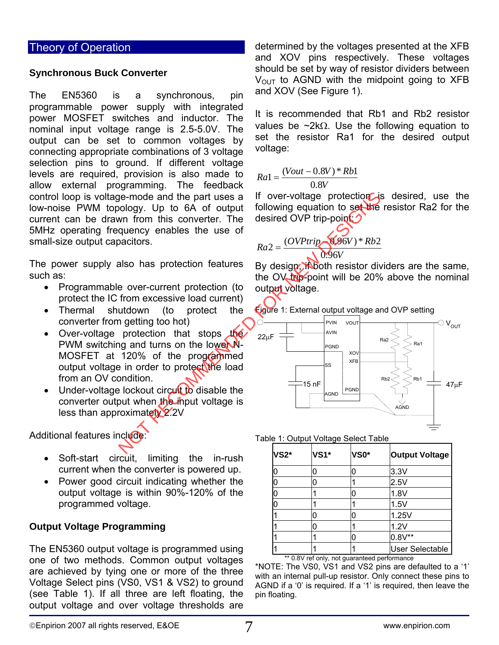## Theory of Operation

#### **Synchronous Buck Converter**

The EN5360 is a synchronous, pin programmable power supply with integrated power MOSFET switches and inductor. The nominal input voltage range is 2.5-5.0V. The output can be set to common voltages by connecting appropriate combinations of 3 voltage selection pins to ground. If different voltage levels are required, provision is also made to allow external programming. The feedback control loop is voltage-mode and the part uses a low-noise PWM topology. Up to 6A of output current can be drawn from this converter. The 5MHz operating frequency enables the use of small-size output capacitors.

The power supply also has protection features such as:

- Programmable over-current protection (to protect the IC from excessive load current)
- Thermal shutdown (to protect the converter from getting too hot)
- Over-voltage protection that stops the PWM switching and turns on the lower N-MOSFET at 120% of the programmed output voltage in order to protect the load from an OV condition.
- Under-voltage lockout circult to disable the converter output when the input voltage is less than approximately 2.2V

Additional features include:

- Soft-start circuit, limiting the in-rush current when the converter is powered up.
- Power good circuit indicating whether the output voltage is within 90%-120% of the programmed voltage.

#### **Output Voltage Programming**

The EN5360 output voltage is programmed using one of two methods. Common output voltages are achieved by tying one or more of the three Voltage Select pins (VS0, VS1 & VS2) to ground (see Table 1). If all three are left floating, the output voltage and over voltage thresholds are determined by the voltages presented at the XFB and XOV pins respectively. These voltages should be set by way of resistor dividers between  $V<sub>OUT</sub>$  to AGND with the midpoint going to XFB and XOV (See Figure 1).

It is recommended that Rb1 and Rb2 resistor values be ~2kΩ. Use the following equation to set the resistor Ra1 for the desired output voltage:

$$
Ra = \frac{(Vout - 0.8V) * Rb1}{0.8V}
$$

If over-voltage protection is desired, use the following equation to set the resistor Ra2 for the desired OVP trip-point

$$
Ra2 = \frac{(OVPtrip)}{10.96V} \times \frac{12}{36V}
$$

By design, in both resistor dividers are the same, the OV trip-point will be 20% above the nominal output voltage.



Table 1: Output Voltage Select Table

| <b>VS2*</b> | <b>VS1*</b> | VS <sub>0</sub> * | <b>Output Voltage</b>       |
|-------------|-------------|-------------------|-----------------------------|
| 0           |             |                   | 3.3V                        |
| 0           |             |                   | 2.5V                        |
| 0           |             |                   | 1.8V                        |
| 0           |             |                   | 1.5V                        |
|             |             |                   | 1.25V                       |
|             | Ω           |                   | 1.2V                        |
|             |             |                   | $0.8V**$                    |
| 1.1.2.2.11  |             |                   | <b>User Selectable</b><br>- |

\*\* 0.8V ref only, not guaranteed performance

\*NOTE: The VS0, VS1 and VS2 pins are defaulted to a '1' with an internal pull-up resistor. Only connect these pins to AGND if a '0' is required. If a '1' is required, then leave the pin floating.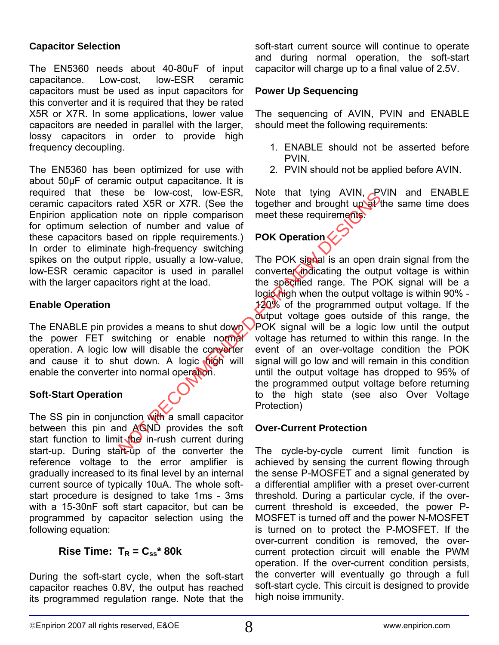#### **Capacitor Selection**

The EN5360 needs about 40-80uF of input capacitance. Low-cost, low-ESR ceramic capacitors must be used as input capacitors for this converter and it is required that they be rated X5R or X7R. In some applications, lower value capacitors are needed in parallel with the larger, lossy capacitors in order to provide high frequency decoupling.

The EN5360 has been optimized for use with about 50µF of ceramic output capacitance. It is required that these be low-cost, low-ESR, ceramic capacitors rated X5R or X7R. (See the Enpirion application note on ripple comparison for optimum selection of number and value of these capacitors based on ripple requirements.) In order to eliminate high-frequency switching spikes on the output ripple, usually a low-value, low-ESR ceramic capacitor is used in parallel with the larger capacitors right at the load.

#### **Enable Operation**

The ENABLE pin provides a means to shut down the power FET switching or enable normal operation. A logic low will disable the converter and cause it to shut down. A logic high will enable the converter into normal operation.

#### **Soft-Start Operation**

The SS pin in conjunction with a small capacitor between this pin and AGND provides the soft start function to limit  $\sqrt{he}$  in-rush current during start-up. During start-up of the converter the reference voltage to the error amplifier is gradually increased to its final level by an internal current source of typically 10uA. The whole softstart procedure is designed to take 1ms - 3ms with a 15-30nF soft start capacitor, but can be programmed by capacitor selection using the following equation:

## **Rise Time:**  $T_R = C_{ss}^*$  80k

During the soft-start cycle, when the soft-start capacitor reaches 0.8V, the output has reached its programmed regulation range. Note that the

soft-start current source will continue to operate and during normal operation, the soft-start capacitor will charge up to a final value of 2.5V.

#### **Power Up Sequencing**

The sequencing of AVIN, PVIN and ENABLE should meet the following requirements:

- 1. ENABLE should not be asserted before PVIN.
- 2. PVIN should not be applied before AVIN.

Note that tying AVIN, PVIN and ENABLE together and brought up at the same time does meet these requirements.

# **POK Operation**

The POK signal is an open drain signal from the converter indicating the output voltage is within the specified range. The POK signal will be a logic high when the output voltage is within 90% - $120\%$  of the programmed output voltage. If the output voltage goes outside of this range, the POK signal will be a logic low until the output voltage has returned to within this range. In the event of an over-voltage condition the POK signal will go low and will remain in this condition until the output voltage has dropped to 95% of the programmed output voltage before returning to the high state (see also Over Voltage Protection) Note that tying AVIN, and the specifier and brought upper<br>
note on ripple comparison meet these requirements<br>
note on ripple comparison meet these requirements<br>
the high-frequency switching<br>
the pDK signal is an open c<br>
th

#### **Over-Current Protection**

The cycle-by-cycle current limit function is achieved by sensing the current flowing through the sense P-MOSFET and a signal generated by a differential amplifier with a preset over-current threshold. During a particular cycle, if the overcurrent threshold is exceeded, the power P-MOSFET is turned off and the power N-MOSFET is turned on to protect the P-MOSFET. If the over-current condition is removed, the overcurrent protection circuit will enable the PWM operation. If the over-current condition persists, the converter will eventually go through a full soft-start cycle. This circuit is designed to provide high noise immunity.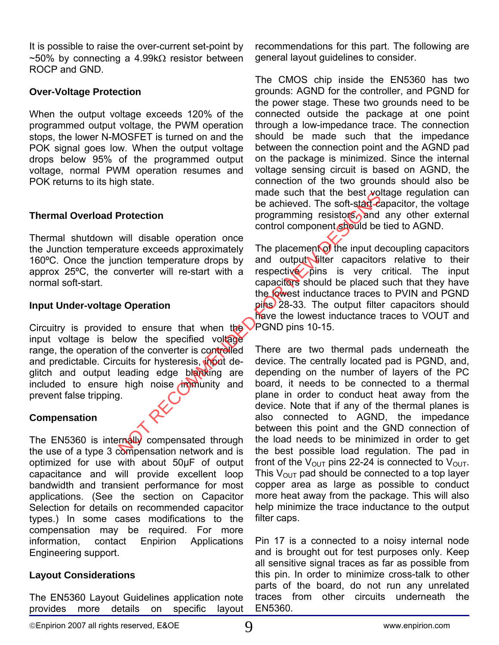It is possible to raise the over-current set-point by  $~\sim$ 50% by connecting a 4.99k $\Omega$  resistor between ROCP and GND.

#### **Over-Voltage Protection**

When the output voltage exceeds 120% of the programmed output voltage, the PWM operation stops, the lower N-MOSFET is turned on and the POK signal goes low. When the output voltage drops below 95% of the programmed output voltage, normal PWM operation resumes and POK returns to its high state.

#### **Thermal Overload Protection**

Thermal shutdown will disable operation once the Junction temperature exceeds approximately 160ºC. Once the junction temperature drops by approx 25ºC, the converter will re-start with a normal soft-start.

#### **Input Under-voltage Operation**

Circuitry is provided to ensure that when the input voltage is below the specified voltage range, the operation of the converter is controlled and predictable. Circuits for hysteresis, input deglitch and output leading edge blanking are included to ensure high noise  $\lim_{n \to \infty}$  and prevent false tripping.

## **Compensation**

The EN5360 is internally compensated through the use of a type 3 compensation network and is optimized for use with about 50µF of output capacitance and will provide excellent loop bandwidth and transient performance for most applications. (See the section on Capacitor Selection for details on recommended capacitor types.) In some cases modifications to the compensation may be required. For more information, contact Enpirion Applications Engineering support.

## **Layout Considerations**

The EN5360 Layout Guidelines application note provides more details on specific layout

recommendations for this part. The following are general layout guidelines to consider.

The CMOS chip inside the EN5360 has two grounds: AGND for the controller, and PGND for the power stage. These two grounds need to be connected outside the package at one point through a low-impedance trace. The connection should be made such that the impedance between the connection point and the AGND pad on the package is minimized. Since the internal voltage sensing circuit is based on AGND, the connection of the two grounds should also be made such that the best voltage regulation can be achieved. The soft-start-capacitor, the voltage programming resistors, and any other external control component should be tied to AGND.

The placement of the input decoupling capacitors and output filter capacitors relative to their respective pins is very critical. The input capacitors should be placed such that they have the lowest inductance traces to PVIN and PGND pins 28-33. The output filter capacitors should have the lowest inductance traces to VOUT and PGND pins 10-15.

There are two thermal pads underneath the device. The centrally located pad is PGND, and, depending on the number of layers of the PC board, it needs to be connected to a thermal plane in order to conduct heat away from the device. Note that if any of the thermal planes is also connected to AGND, the impedance between this point and the GND connection of the load needs to be minimized in order to get the best possible load regulation. The pad in front of the  $V_{\text{OUT}}$  pins 22-24 is connected to  $V_{\text{OUT}}$ . This  $V_{\text{OUT}}$  pad should be connected to a top layer copper area as large as possible to conduct more heat away from the package. This will also help minimize the trace inductance to the output filter caps. Protection<br>
be achieved. The soft-start-start<br>
will disable operation once<br>
will disable operation once<br>
ature exceeds approximately The placement of the input de<br>
multiput dentitive capacities by and output will re-start

> Pin 17 is a connected to a noisy internal node and is brought out for test purposes only. Keep all sensitive signal traces as far as possible from this pin. In order to minimize cross-talk to other parts of the board, do not run any unrelated traces from other circuits underneath the EN5360.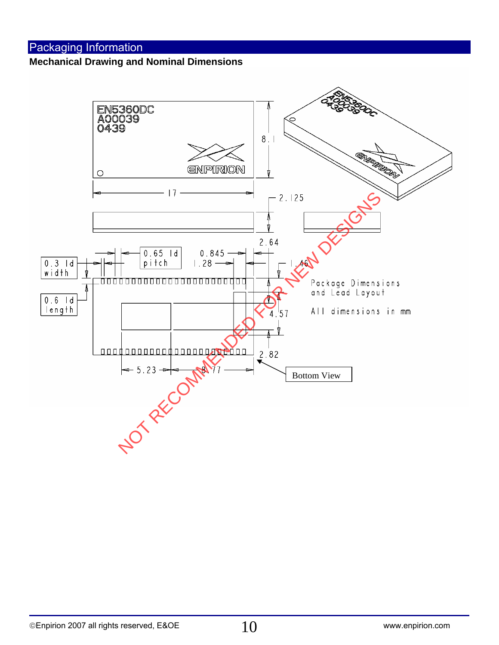# Packaging Information

#### **Mechanical Drawing and Nominal Dimensions**